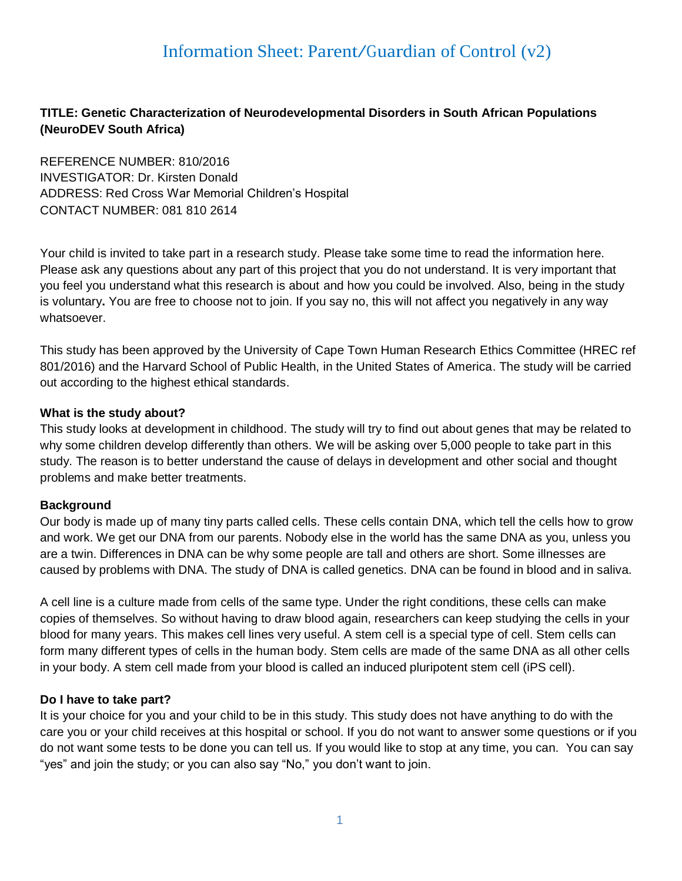# Information Sheet: Parent/Guardian of Control (v2)

# **TITLE: Genetic Characterization of Neurodevelopmental Disorders in South African Populations (NeuroDEV South Africa)**

REFERENCE NUMBER: 810/2016 INVESTIGATOR: Dr. Kirsten Donald ADDRESS: Red Cross War Memorial Children's Hospital CONTACT NUMBER: 081 810 2614

Your child is invited to take part in a research study. Please take some time to read the information here. Please ask any questions about any part of this project that you do not understand. It is very important that you feel you understand what this research is about and how you could be involved. Also, being in the study is voluntary**.** You are free to choose not to join. If you say no, this will not affect you negatively in any way whatsoever.

This study has been approved by the University of Cape Town Human Research Ethics Committee (HREC ref 801/2016) and the Harvard School of Public Health, in the United States of America. The study will be carried out according to the highest ethical standards.

#### **What is the study about?**

This study looks at development in childhood. The study will try to find out about genes that may be related to why some children develop differently than others. We will be asking over 5,000 people to take part in this study. The reason is to better understand the cause of delays in development and other social and thought problems and make better treatments.

#### **Background**

Our body is made up of many tiny parts called cells. These cells contain DNA, which tell the cells how to grow and work. We get our DNA from our parents. Nobody else in the world has the same DNA as you, unless you are a twin. Differences in DNA can be why some people are tall and others are short. Some illnesses are caused by problems with DNA. The study of DNA is called genetics. DNA can be found in blood and in saliva.

A cell line is a culture made from cells of the same type. Under the right conditions, these cells can make copies of themselves. So without having to draw blood again, researchers can keep studying the cells in your blood for many years. This makes cell lines very useful. A stem cell is a special type of cell. Stem cells can form many different types of cells in the human body. Stem cells are made of the same DNA as all other cells in your body. A stem cell made from your blood is called an induced pluripotent stem cell (iPS cell).

#### **Do I have to take part?**

It is your choice for you and your child to be in this study. This study does not have anything to do with the care you or your child receives at this hospital or school. If you do not want to answer some questions or if you do not want some tests to be done you can tell us. If you would like to stop at any time, you can. You can say "yes" and join the study; or you can also say "No," you don't want to join.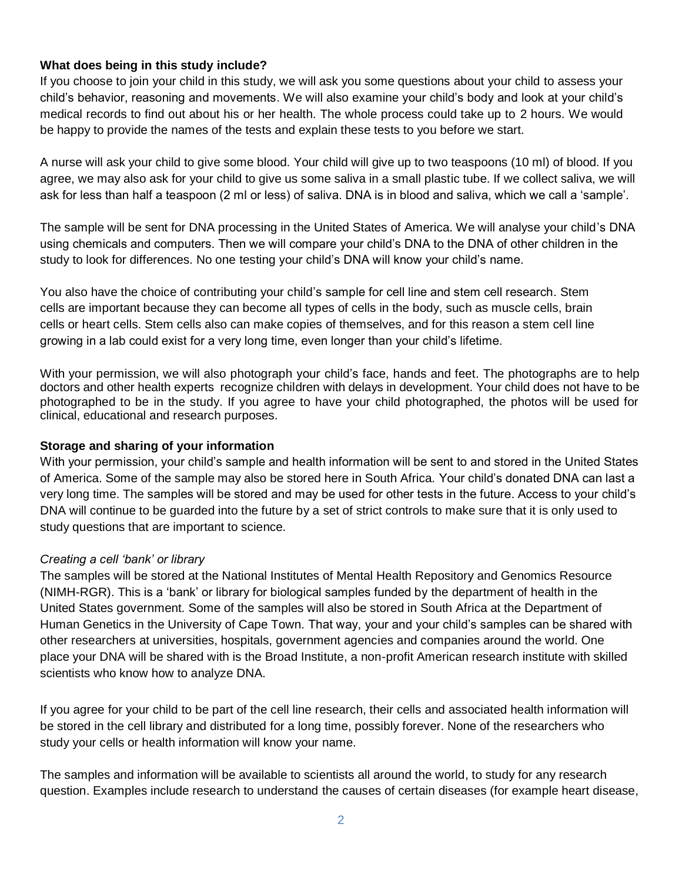## **What does being in this study include?**

If you choose to join your child in this study, we will ask you some questions about your child to assess your child's behavior, reasoning and movements. We will also examine your child's body and look at your child's medical records to find out about his or her health. The whole process could take up to 2 hours. We would be happy to provide the names of the tests and explain these tests to you before we start.

A nurse will ask your child to give some blood. Your child will give up to two teaspoons (10 ml) of blood. If you agree, we may also ask for your child to give us some saliva in a small plastic tube. If we collect saliva, we will ask for less than half a teaspoon (2 ml or less) of saliva. DNA is in blood and saliva, which we call a 'sample'.

The sample will be sent for DNA processing in the United States of America. We will analyse your child's DNA using chemicals and computers. Then we will compare your child's DNA to the DNA of other children in the study to look for differences. No one testing your child's DNA will know your child's name.

You also have the choice of contributing your child's sample for cell line and stem cell research. Stem cells are important because they can become all types of cells in the body, such as muscle cells, brain cells or heart cells. Stem cells also can make copies of themselves, and for this reason a stem cell line growing in a lab could exist for a very long time, even longer than your child's lifetime.

With your permission, we will also photograph your child's face, hands and feet. The photographs are to help doctors and other health experts recognize children with delays in development. Your child does not have to be photographed to be in the study. If you agree to have your child photographed, the photos will be used for clinical, educational and research purposes.

#### **Storage and sharing of your information**

With your permission, your child's sample and health information will be sent to and stored in the United States of America. Some of the sample may also be stored here in South Africa. Your child's donated DNA can last a very long time. The samples will be stored and may be used for other tests in the future. Access to your child's DNA will continue to be guarded into the future by a set of strict controls to make sure that it is only used to study questions that are important to science.

#### *Creating a cell 'bank' or library*

The samples will be stored at the National Institutes of Mental Health Repository and Genomics Resource (NIMH-RGR). This is a 'bank' or library for biological samples funded by the department of health in the United States government. Some of the samples will also be stored in South Africa at the Department of Human Genetics in the University of Cape Town. That way, your and your child's samples can be shared with other researchers at universities, hospitals, government agencies and companies around the world. One place your DNA will be shared with is the Broad Institute, a non-profit American research institute with skilled scientists who know how to analyze DNA.

If you agree for your child to be part of the cell line research, their cells and associated health information will be stored in the cell library and distributed for a long time, possibly forever. None of the researchers who study your cells or health information will know your name.

The samples and information will be available to scientists all around the world, to study for any research question. Examples include research to understand the causes of certain diseases (for example heart disease,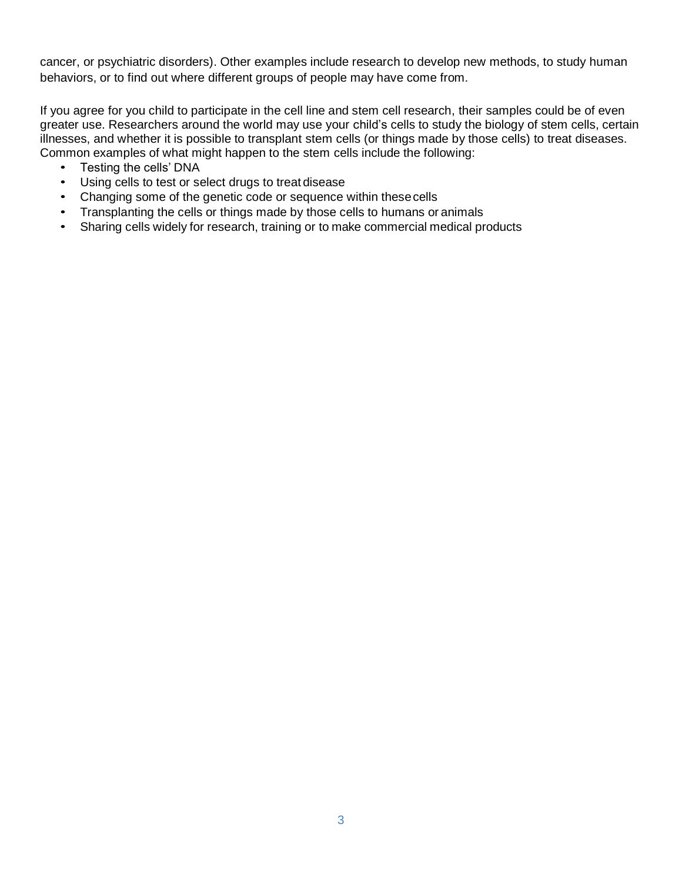cancer, or psychiatric disorders). Other examples include research to develop new methods, to study human behaviors, or to find out where different groups of people may have come from.

If you agree for you child to participate in the cell line and stem cell research, their samples could be of even greater use. Researchers around the world may use your child's cells to study the biology of stem cells, certain illnesses, and whether it is possible to transplant stem cells (or things made by those cells) to treat diseases. Common examples of what might happen to the stem cells include the following:

- Testing the cells' DNA
- Using cells to test or select drugs to treat disease
- Changing some of the genetic code or sequence within thesecells
- Transplanting the cells or things made by those cells to humans or animals
- Sharing cells widely for research, training or to make commercial medical products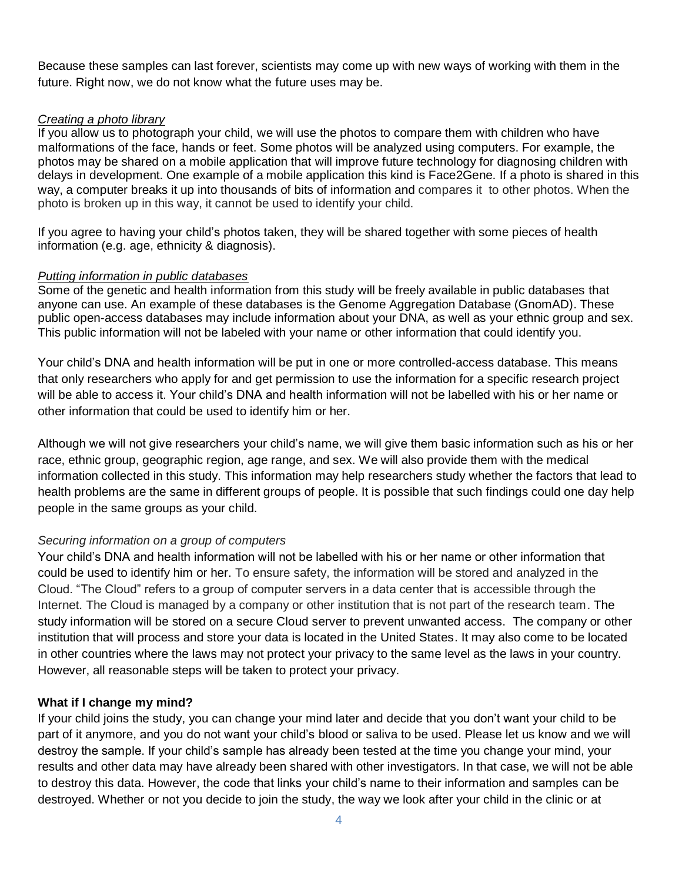Because these samples can last forever, scientists may come up with new ways of working with them in the future. Right now, we do not know what the future uses may be.

#### *Creating a photo library*

If you allow us to photograph your child, we will use the photos to compare them with children who have malformations of the face, hands or feet. Some photos will be analyzed using computers. For example, the photos may be shared on a mobile application that will improve future technology for diagnosing children with delays in development. One example of a mobile application this kind is Face2Gene. If a photo is shared in this way, a computer breaks it up into thousands of bits of information and compares it to other photos. When the photo is broken up in this way, it cannot be used to identify your child.

If you agree to having your child's photos taken, they will be shared together with some pieces of health information (e.g. age, ethnicity & diagnosis).

#### *Putting information in public databases*

Some of the genetic and health information from this study will be freely available in public databases that anyone can use. An example of these databases is the Genome Aggregation Database (GnomAD). These public open-access databases may include information about your DNA, as well as your ethnic group and sex. This public information will not be labeled with your name or other information that could identify you.

Your child's DNA and health information will be put in one or more controlled-access database. This means that only researchers who apply for and get permission to use the information for a specific research project will be able to access it. Your child's DNA and health information will not be labelled with his or her name or other information that could be used to identify him or her.

Although we will not give researchers your child's name, we will give them basic information such as his or her race, ethnic group, geographic region, age range, and sex. We will also provide them with the medical information collected in this study. This information may help researchers study whether the factors that lead to health problems are the same in different groups of people. It is possible that such findings could one day help people in the same groups as your child.

#### *Securing information on a group of computers*

Your child's DNA and health information will not be labelled with his or her name or other information that could be used to identify him or her. To ensure safety, the information will be stored and analyzed in the Cloud. "The Cloud" refers to a group of computer servers in a data center that is accessible through the Internet. The Cloud is managed by a company or other institution that is not part of the research team. The study information will be stored on a secure Cloud server to prevent unwanted access. The company or other institution that will process and store your data is located in the United States. It may also come to be located in other countries where the laws may not protect your privacy to the same level as the laws in your country. However, all reasonable steps will be taken to protect your privacy.

#### **What if I change my mind?**

If your child joins the study, you can change your mind later and decide that you don't want your child to be part of it anymore, and you do not want your child's blood or saliva to be used. Please let us know and we will destroy the sample. If your child's sample has already been tested at the time you change your mind, your results and other data may have already been shared with other investigators. In that case, we will not be able to destroy this data. However, the code that links your child's name to their information and samples can be destroyed. Whether or not you decide to join the study, the way we look after your child in the clinic or at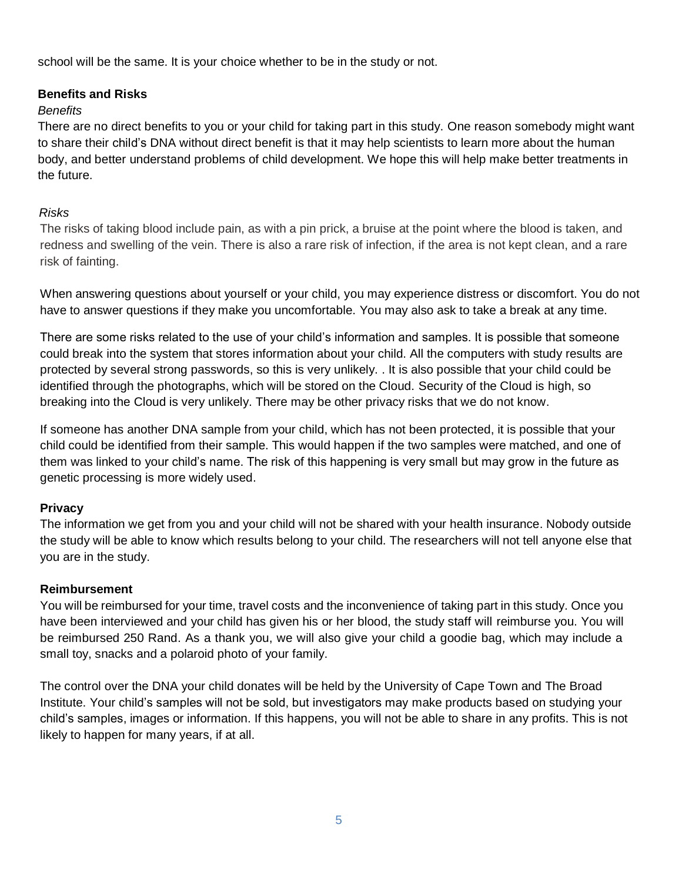school will be the same. It is your choice whether to be in the study or not.

## **Benefits and Risks**

## *Benefits*

There are no direct benefits to you or your child for taking part in this study. One reason somebody might want to share their child's DNA without direct benefit is that it may help scientists to learn more about the human body, and better understand problems of child development. We hope this will help make better treatments in the future.

## *Risks*

The risks of taking blood include pain, as with a pin prick, a bruise at the point where the blood is taken, and redness and swelling of the vein. There is also a rare risk of infection, if the area is not kept clean, and a rare risk of fainting.

When answering questions about yourself or your child, you may experience distress or discomfort. You do not have to answer questions if they make you uncomfortable. You may also ask to take a break at any time.

There are some risks related to the use of your child's information and samples. It is possible that someone could break into the system that stores information about your child. All the computers with study results are protected by several strong passwords, so this is very unlikely. . It is also possible that your child could be identified through the photographs, which will be stored on the Cloud. Security of the Cloud is high, so breaking into the Cloud is very unlikely. There may be other privacy risks that we do not know.

If someone has another DNA sample from your child, which has not been protected, it is possible that your child could be identified from their sample. This would happen if the two samples were matched, and one of them was linked to your child's name. The risk of this happening is very small but may grow in the future as genetic processing is more widely used.

## **Privacy**

The information we get from you and your child will not be shared with your health insurance. Nobody outside the study will be able to know which results belong to your child. The researchers will not tell anyone else that you are in the study.

#### **Reimbursement**

You will be reimbursed for your time, travel costs and the inconvenience of taking part in this study. Once you have been interviewed and your child has given his or her blood, the study staff will reimburse you. You will be reimbursed 250 Rand. As a thank you, we will also give your child a goodie bag, which may include a small toy, snacks and a polaroid photo of your family.

The control over the DNA your child donates will be held by the University of Cape Town and The Broad Institute. Your child's samples will not be sold, but investigators may make products based on studying your child's samples, images or information. If this happens, you will not be able to share in any profits. This is not likely to happen for many years, if at all.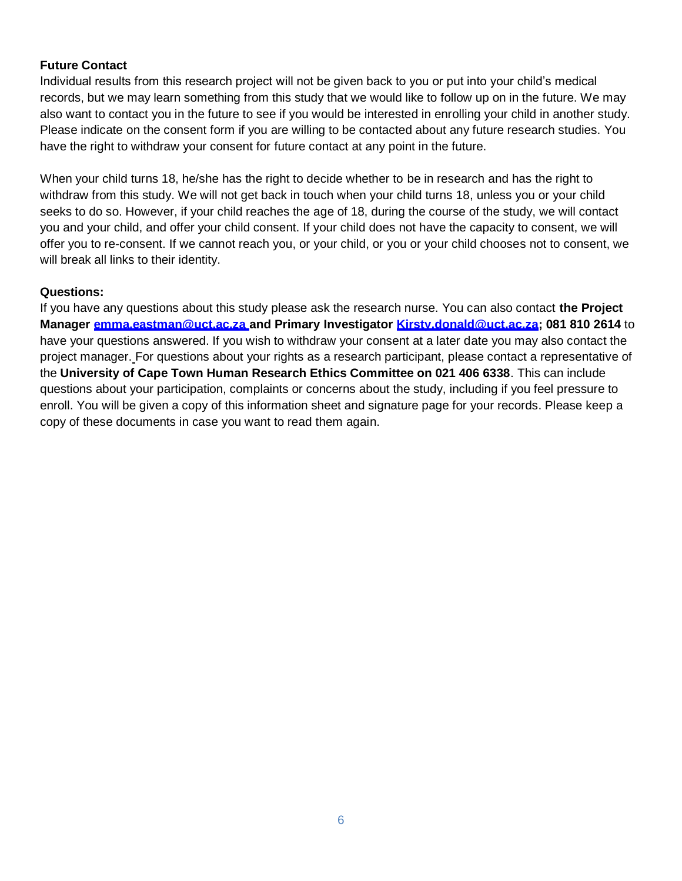## **Future Contact**

Individual results from this research project will not be given back to you or put into your child's medical records, but we may learn something from this study that we would like to follow up on in the future. We may also want to contact you in the future to see if you would be interested in enrolling your child in another study. Please indicate on the consent form if you are willing to be contacted about any future research studies. You have the right to withdraw your consent for future contact at any point in the future.

When your child turns 18, he/she has the right to decide whether to be in research and has the right to withdraw from this study. We will not get back in touch when your child turns 18, unless you or your child seeks to do so. However, if your child reaches the age of 18, during the course of the study, we will contact you and your child, and offer your child consent. If your child does not have the capacity to consent, we will offer you to re-consent. If we cannot reach you, or your child, or you or your child chooses not to consent, we will break all links to their identity.

#### **Questions:**

If you have any questions about this study please ask the research nurse. You can also contact **the Project Manager [emma.eastman@uct.ac.za a](mailto:emma.eastman@uct.ac.za)nd Primary Investigator [Kirsty.donald@uct.ac.za;](mailto:Kirsty.donald@uct.ac.za) 081 810 2614** to have your questions answered. If you wish to withdraw your consent at a later date you may also contact the project manager. For questions about your rights as a research participant, please contact a representative of the **University of Cape Town Human Research Ethics Committee on 021 406 6338**. This can include questions about your participation, complaints or concerns about the study, including if you feel pressure to enroll. You will be given a copy of this information sheet and signature page for your records. Please keep a copy of these documents in case you want to read them again.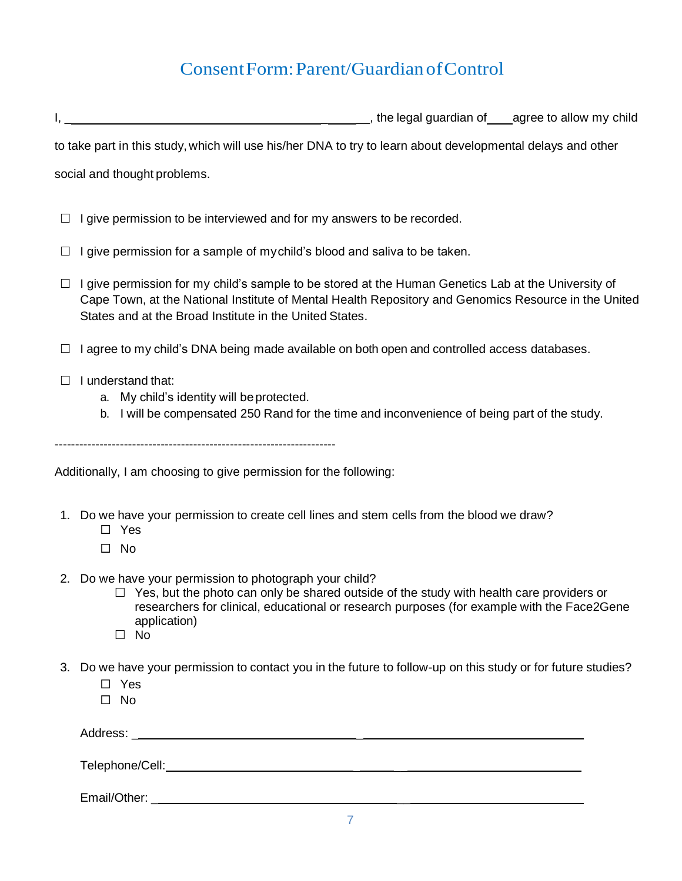# ConsentForm:Parent/GuardianofControl

I, \_ \_ \_\_, the legal guardian of agree to allow my child

to take part in this study, which will use his/her DNA to try to learn about developmental delays and other

social and thought problems.

- $\Box$  I give permission to be interviewed and for my answers to be recorded.
- $\Box$  I give permission for a sample of mychild's blood and saliva to be taken.
- $\Box$  I give permission for my child's sample to be stored at the Human Genetics Lab at the University of Cape Town, at the National Institute of Mental Health Repository and Genomics Resource in the United States and at the Broad Institute in the United States.
- $\Box$  I agree to my child's DNA being made available on both open and controlled access databases.
- $\Box$  I understand that:
	- a. My child's identity will beprotected.
	- b. I will be compensated 250 Rand for the time and inconvenience of being part of the study.

---------------------------------------------------------------------

Additionally, I am choosing to give permission for the following:

- 1. Do we have your permission to create cell lines and stem cells from the blood we draw?
	- Yes
	- $\square$  No
- 2. Do we have your permission to photograph your child?
	- $\Box$  Yes, but the photo can only be shared outside of the study with health care providers or researchers for clinical, educational or research purposes (for example with the Face2Gene application)
	- $\Box$  No
- 3. Do we have your permission to contact you in the future to follow-up on this study or for future studies?
	- □ Yes
	- $\square$  No

| Address:<br>$\overline{\phantom{a}}$ |  | _ |  |  |
|--------------------------------------|--|---|--|--|
|                                      |  |   |  |  |
|                                      |  |   |  |  |

Telephone/Cell:  $\blacksquare$ 

Email/Other: \_ \_\_